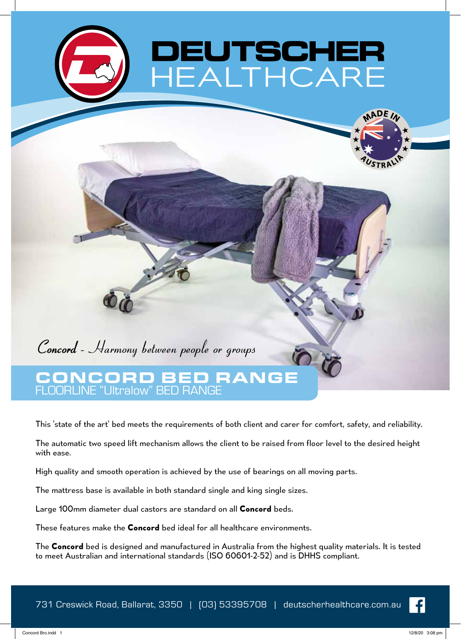

## **Concord** - Harmony between people or groups

## CONCORD BED RANGE FLOORLINE "Ultralow" BED RANGE

This 'state of the art' bed meets the requirements of both client and carer for comfort, safety, and reliability.

The automatic two speed lift mechanism allows the client to be raised from floor level to the desired height with ease.

High quality and smooth operation is achieved by the use of bearings on all moving parts.

The mattress base is available in both standard single and king single sizes.

Large 100mm diameter dual castors are standard on all **Concord** beds.

These features make the **Concord** bed ideal for all healthcare environments.

The **Concord** bed is designed and manufactured in Australia from the highest quality materials. It is tested to meet Australian and international standards (ISO 60601-2-52) and is DHHS compliant.

Concord Bro.indd 1 12/8/20 3:08 pm



**ADE**